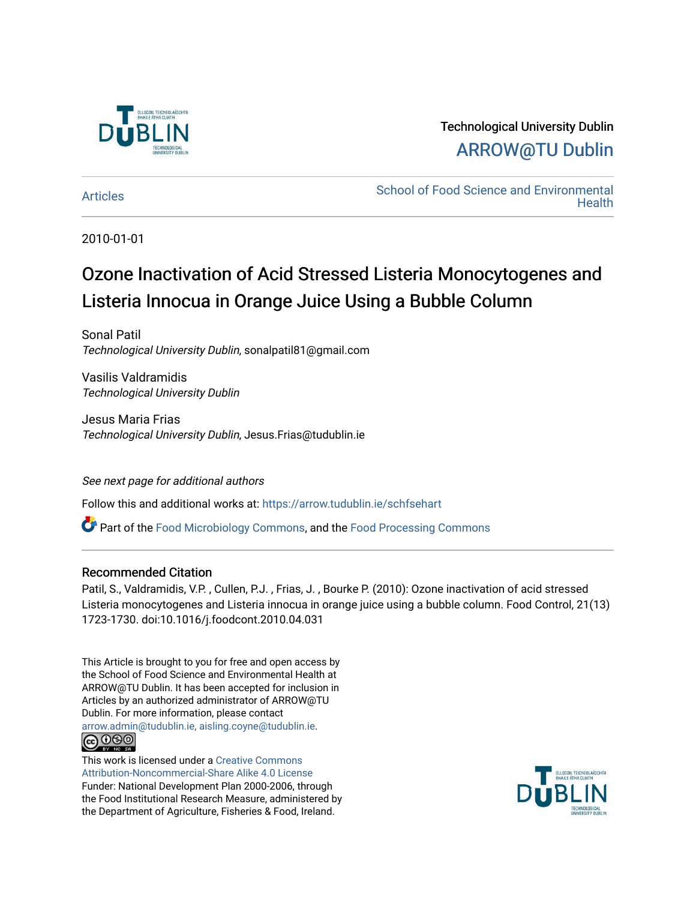

# Technological University Dublin [ARROW@TU Dublin](https://arrow.tudublin.ie/)

[Articles](https://arrow.tudublin.ie/schfsehart) **School of Food Science and Environmental Health** 

2010-01-01

# Ozone Inactivation of Acid Stressed Listeria Monocytogenes and Listeria Innocua in Orange Juice Using a Bubble Column

Sonal Patil Technological University Dublin, sonalpatil81@gmail.com

Vasilis Valdramidis Technological University Dublin

Jesus Maria Frias Technological University Dublin, Jesus.Frias@tudublin.ie

### See next page for additional authors

Follow this and additional works at: [https://arrow.tudublin.ie/schfsehart](https://arrow.tudublin.ie/schfsehart?utm_source=arrow.tudublin.ie%2Fschfsehart%2F66&utm_medium=PDF&utm_campaign=PDFCoverPages) 

**C** Part of the [Food Microbiology Commons](http://network.bepress.com/hgg/discipline/86?utm_source=arrow.tudublin.ie%2Fschfsehart%2F66&utm_medium=PDF&utm_campaign=PDFCoverPages), and the Food Processing Commons

#### Recommended Citation

Patil, S., Valdramidis, V.P. , Cullen, P.J. , Frias, J. , Bourke P. (2010): Ozone inactivation of acid stressed Listeria monocytogenes and Listeria innocua in orange juice using a bubble column. Food Control, 21(13) 1723-1730. doi:10.1016/j.foodcont.2010.04.031

This Article is brought to you for free and open access by the School of Food Science and Environmental Health at ARROW@TU Dublin. It has been accepted for inclusion in Articles by an authorized administrator of ARROW@TU Dublin. For more information, please contact [arrow.admin@tudublin.ie, aisling.coyne@tudublin.ie](mailto:arrow.admin@tudublin.ie,%20aisling.coyne@tudublin.ie).



This work is licensed under a [Creative Commons](http://creativecommons.org/licenses/by-nc-sa/4.0/) [Attribution-Noncommercial-Share Alike 4.0 License](http://creativecommons.org/licenses/by-nc-sa/4.0/) Funder: National Development Plan 2000-2006, through the Food Institutional Research Measure, administered by the Department of Agriculture, Fisheries & Food, Ireland.

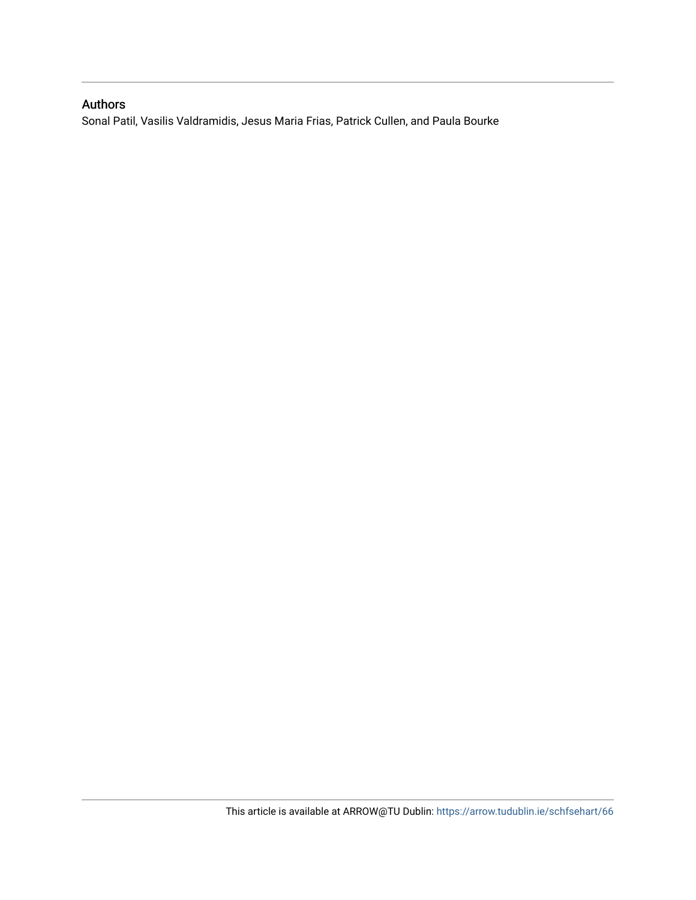## Authors

Sonal Patil, Vasilis Valdramidis, Jesus Maria Frias, Patrick Cullen, and Paula Bourke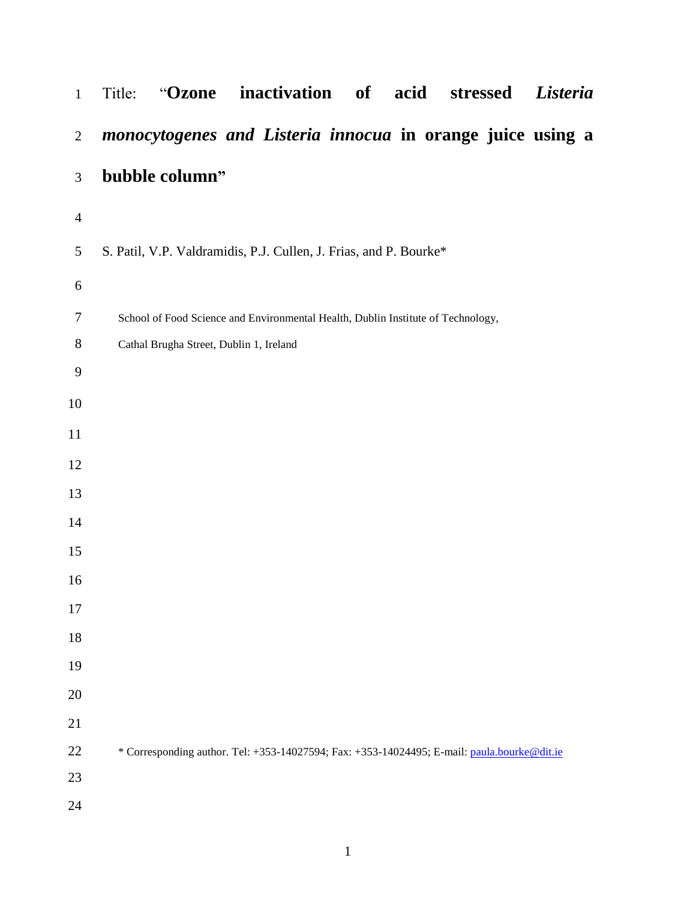| $\mathbf{1}$     | inactivation<br>of<br>acid<br>Listeria<br>"Ozone<br>stressed<br>Title:                      |  |  |  |  |  |  |  |  |  |  |
|------------------|---------------------------------------------------------------------------------------------|--|--|--|--|--|--|--|--|--|--|
| $\overline{2}$   | monocytogenes and Listeria innocua in orange juice using a                                  |  |  |  |  |  |  |  |  |  |  |
| $\mathfrak{Z}$   | bubble column"                                                                              |  |  |  |  |  |  |  |  |  |  |
| $\overline{4}$   |                                                                                             |  |  |  |  |  |  |  |  |  |  |
| 5                | S. Patil, V.P. Valdramidis, P.J. Cullen, J. Frias, and P. Bourke*                           |  |  |  |  |  |  |  |  |  |  |
| 6                |                                                                                             |  |  |  |  |  |  |  |  |  |  |
| $\tau$           | School of Food Science and Environmental Health, Dublin Institute of Technology,            |  |  |  |  |  |  |  |  |  |  |
| $8\,$            | Cathal Brugha Street, Dublin 1, Ireland                                                     |  |  |  |  |  |  |  |  |  |  |
| $\boldsymbol{9}$ |                                                                                             |  |  |  |  |  |  |  |  |  |  |
| 10               |                                                                                             |  |  |  |  |  |  |  |  |  |  |
| 11               |                                                                                             |  |  |  |  |  |  |  |  |  |  |
| 12               |                                                                                             |  |  |  |  |  |  |  |  |  |  |
| 13               |                                                                                             |  |  |  |  |  |  |  |  |  |  |
| 14               |                                                                                             |  |  |  |  |  |  |  |  |  |  |
| 15               |                                                                                             |  |  |  |  |  |  |  |  |  |  |
| 16               |                                                                                             |  |  |  |  |  |  |  |  |  |  |
| 17               |                                                                                             |  |  |  |  |  |  |  |  |  |  |
| 18               |                                                                                             |  |  |  |  |  |  |  |  |  |  |
| 19               |                                                                                             |  |  |  |  |  |  |  |  |  |  |
| 20               |                                                                                             |  |  |  |  |  |  |  |  |  |  |
| 21               |                                                                                             |  |  |  |  |  |  |  |  |  |  |
| $22\,$           | * Corresponding author. Tel: +353-14027594; Fax: +353-14024495; E-mail: paula.bourke@dit.ie |  |  |  |  |  |  |  |  |  |  |
| 23               |                                                                                             |  |  |  |  |  |  |  |  |  |  |
| 24               |                                                                                             |  |  |  |  |  |  |  |  |  |  |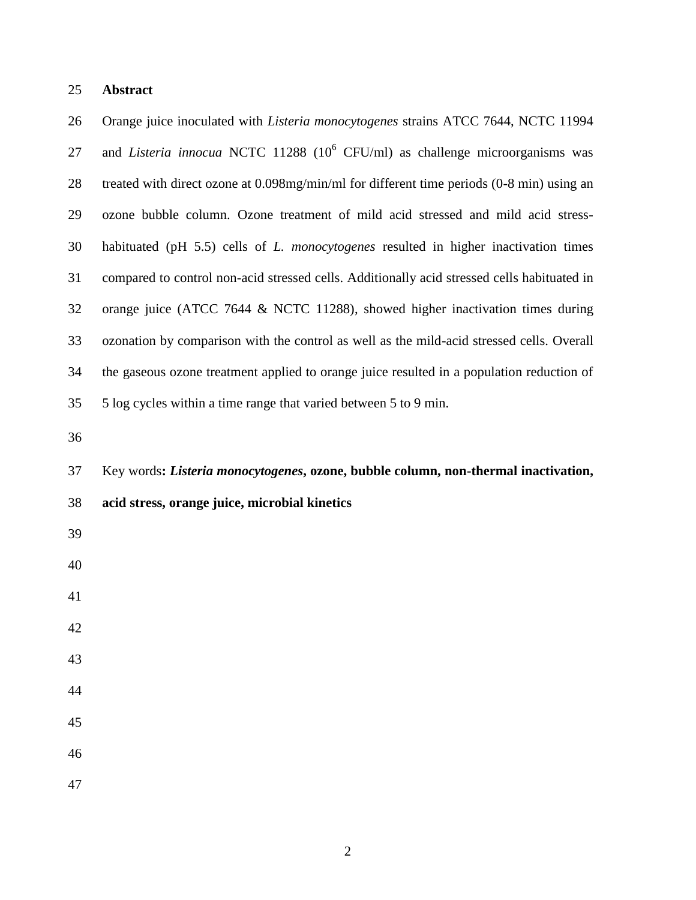#### **Abstract**

 Orange juice inoculated with *Listeria monocytogenes* strains ATCC 7644, NCTC 11994 27 and *Listeria innocua* NCTC 11288 (10<sup>6</sup> CFU/ml) as challenge microorganisms was treated with direct ozone at 0.098mg/min/ml for different time periods (0-8 min) using an ozone bubble column. Ozone treatment of mild acid stressed and mild acid stress- habituated (pH 5.5) cells of *L. monocytogenes* resulted in higher inactivation times compared to control non-acid stressed cells. Additionally acid stressed cells habituated in orange juice (ATCC 7644 & NCTC 11288), showed higher inactivation times during ozonation by comparison with the control as well as the mild-acid stressed cells. Overall the gaseous ozone treatment applied to orange juice resulted in a population reduction of 5 log cycles within a time range that varied between 5 to 9 min. Key words**:** *Listeria monocytogenes***, ozone, bubble column, non-thermal inactivation, acid stress, orange juice, microbial kinetics**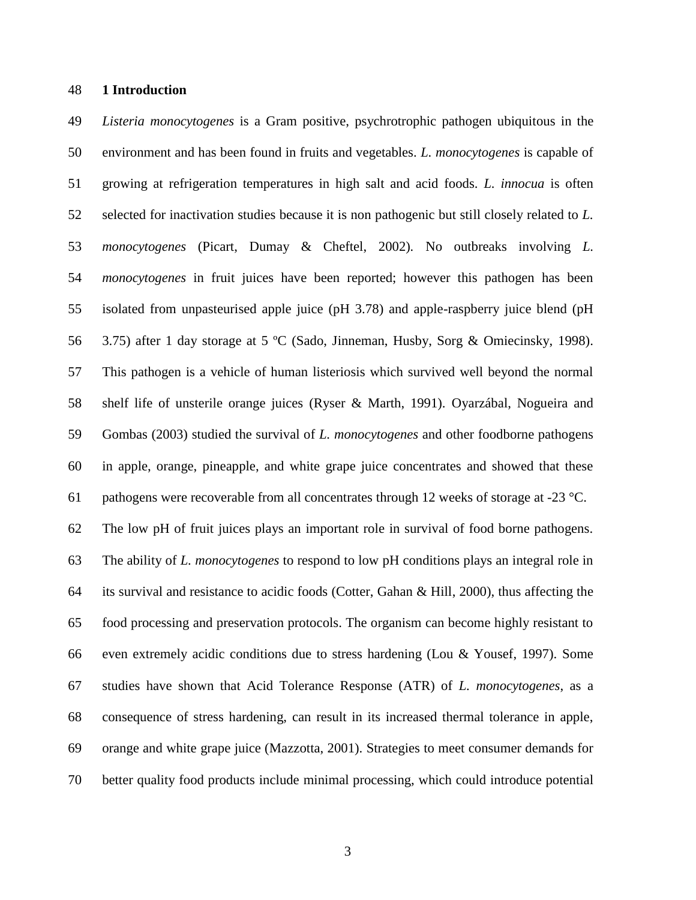#### **1 Introduction**

 *Listeria monocytogenes* is a Gram positive, psychrotrophic pathogen ubiquitous in the environment and has been found in fruits and vegetables. *L. monocytogenes* is capable of growing at refrigeration temperatures in high salt and acid foods. *L. innocua* is often selected for inactivation studies because it is non pathogenic but still closely related to *L. monocytogenes* (Picart, Dumay & Cheftel, 2002)*.* No outbreaks involving *L. monocytogenes* in fruit juices have been reported; however this pathogen has been isolated from unpasteurised apple juice (pH 3.78) and apple-raspberry juice blend (pH 3.75) after 1 day storage at 5 ºC (Sado, Jinneman, Husby, Sorg & Omiecinsky, 1998). This pathogen is a vehicle of human listeriosis which survived well beyond the normal shelf life of unsterile orange juices (Ryser & Marth, 1991). Oyarzábal, Nogueira and Gombas (2003) studied the survival of *L. monocytogenes* and other foodborne pathogens in apple, orange, pineapple, and white grape juice concentrates and showed that these 61 pathogens were recoverable from all concentrates through 12 weeks of storage at  $-23 \degree C$ . The low pH of fruit juices plays an important role in survival of food borne pathogens. The ability of *L. monocytogenes* to respond to low pH conditions plays an integral role in its survival and resistance to acidic foods (Cotter, Gahan & Hill, 2000), thus affecting the food processing and preservation protocols. The organism can become highly resistant to even extremely acidic conditions due to stress hardening (Lou & Yousef, 1997). Some studies have shown that Acid Tolerance Response (ATR) of *L. monocytogenes*, as a consequence of stress hardening, can result in its increased thermal tolerance in apple, orange and white grape juice (Mazzotta, 2001). Strategies to meet consumer demands for better quality food products include minimal processing, which could introduce potential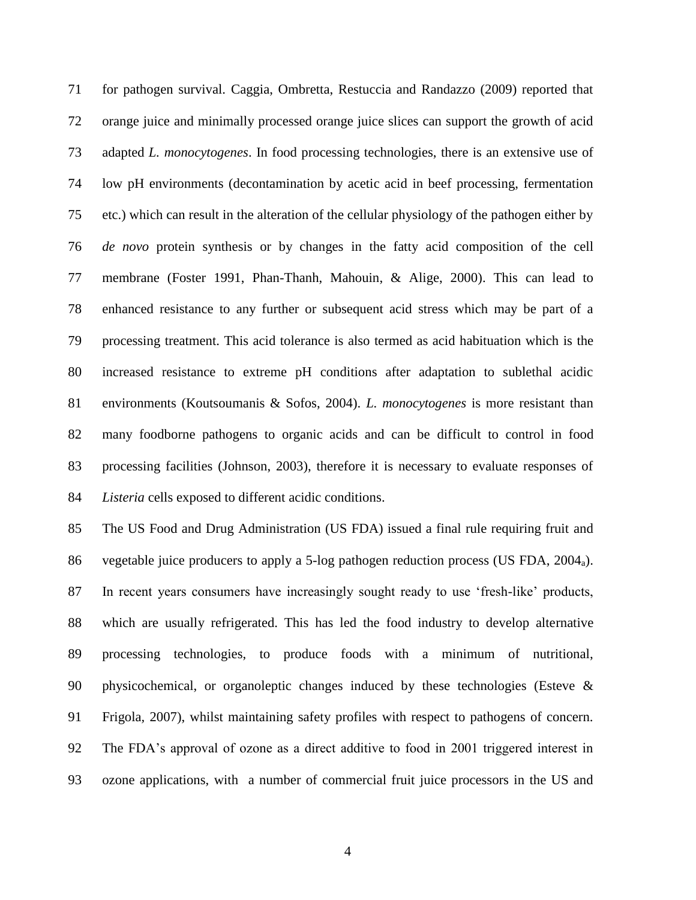for pathogen survival. Caggia, Ombretta, Restuccia and Randazzo (2009) reported that orange juice and minimally processed orange juice slices can support the growth of acid adapted *L. monocytogenes*. In food processing technologies, there is an extensive use of low pH environments (decontamination by acetic acid in beef processing, fermentation etc.) which can result in the alteration of the cellular physiology of the pathogen either by *de novo* protein synthesis or by changes in the fatty acid composition of the cell membrane (Foster 1991, Phan-Thanh, Mahouin, & Alige, 2000). This can lead to enhanced resistance to any further or subsequent acid stress which may be part of a processing treatment. This acid tolerance is also termed as acid habituation which is the increased resistance to extreme pH conditions after adaptation to sublethal acidic environments (Koutsoumanis & Sofos, 2004). *L. monocytogenes* is more resistant than many foodborne pathogens to organic acids and can be difficult to control in food processing facilities (Johnson, 2003), therefore it is necessary to evaluate responses of *Listeria* cells exposed to different acidic conditions.

 The US Food and Drug Administration (US FDA) issued a final rule requiring fruit and vegetable juice producers to apply a 5-log pathogen reduction process (US FDA, 2004a). In recent years consumers have increasingly sought ready to use 'fresh-like' products, which are usually refrigerated. This has led the food industry to develop alternative processing technologies, to produce foods with a minimum of nutritional, physicochemical, or organoleptic changes induced by these technologies (Esteve & Frigola*,* 2007), whilst maintaining safety profiles with respect to pathogens of concern. The FDA's approval of ozone as a direct additive to food in 2001 triggered interest in ozone applications, with a number of commercial fruit juice processors in the US and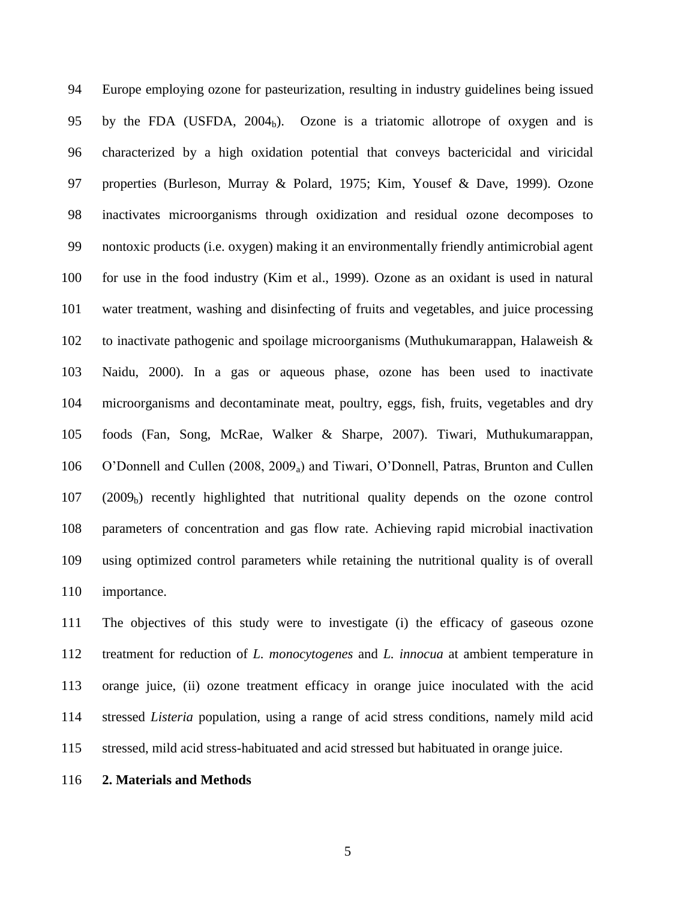Europe employing ozone for pasteurization, resulting in industry guidelines being issued 95 by the FDA (USFDA,  $2004<sub>b</sub>$ ). Ozone is a triatomic allotrope of oxygen and is characterized by a high oxidation potential that conveys bactericidal and viricidal properties (Burleson, Murray & Polard, 1975; Kim, Yousef & Dave, 1999). Ozone inactivates microorganisms through oxidization and residual ozone decomposes to nontoxic products (i.e. oxygen) making it an environmentally friendly antimicrobial agent for use in the food industry (Kim et al., 1999). Ozone as an oxidant is used in natural water treatment, washing and disinfecting of fruits and vegetables, and juice processing to inactivate pathogenic and spoilage microorganisms (Muthukumarappan, Halaweish & Naidu, 2000). In a gas or aqueous phase, ozone has been used to inactivate microorganisms and decontaminate meat, poultry, eggs, fish, fruits, vegetables and dry foods (Fan, Song, McRae, Walker & Sharpe, 2007). Tiwari, Muthukumarappan, O'Donnell and Cullen (2008, 2009a) and Tiwari, O'Donnell, Patras, Brunton and Cullen  $(2009<sub>b</sub>)$  recently highlighted that nutritional quality depends on the ozone control parameters of concentration and gas flow rate. Achieving rapid microbial inactivation using optimized control parameters while retaining the nutritional quality is of overall importance.

 The objectives of this study were to investigate (i) the efficacy of gaseous ozone treatment for reduction of *L. monocytogenes* and *L. innocua* at ambient temperature in orange juice, (ii) ozone treatment efficacy in orange juice inoculated with the acid stressed *Listeria* population, using a range of acid stress conditions, namely mild acid stressed, mild acid stress-habituated and acid stressed but habituated in orange juice.

**2. Materials and Methods**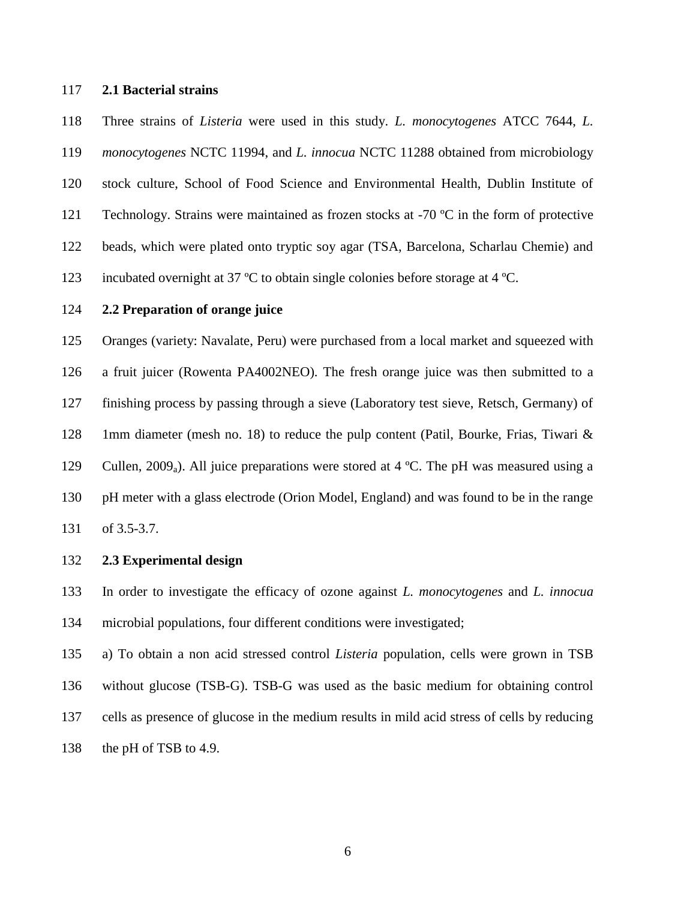#### **2.1 Bacterial strains**

 Three strains of *Listeria* were used in this study. *L. monocytogenes* ATCC 7644, *L. monocytogenes* NCTC 11994, and *L. innocua* NCTC 11288 obtained from microbiology stock culture, School of Food Science and Environmental Health, Dublin Institute of 121 Technology. Strains were maintained as frozen stocks at -70 °C in the form of protective beads, which were plated onto tryptic soy agar (TSA, Barcelona, Scharlau Chemie) and incubated overnight at 37 ºC to obtain single colonies before storage at 4 ºC.

#### **2.2 Preparation of orange juice**

 Oranges (variety: Navalate, Peru) were purchased from a local market and squeezed with a fruit juicer (Rowenta PA4002NEO). The fresh orange juice was then submitted to a finishing process by passing through a sieve (Laboratory test sieve, Retsch, Germany) of 128 1mm diameter (mesh no. 18) to reduce the pulp content (Patil, Bourke, Frias, Tiwari & 129 Cullen, 2009<sub>a</sub>). All juice preparations were stored at 4 °C. The pH was measured using a pH meter with a glass electrode (Orion Model, England) and was found to be in the range of 3.5-3.7.

#### **2.3 Experimental design**

 In order to investigate the efficacy of ozone against *L. monocytogenes* and *L. innocua* microbial populations, four different conditions were investigated;

 a) To obtain a non acid stressed control *Listeria* population, cells were grown in TSB without glucose (TSB-G). TSB-G was used as the basic medium for obtaining control cells as presence of glucose in the medium results in mild acid stress of cells by reducing 138 the pH of TSB to 4.9.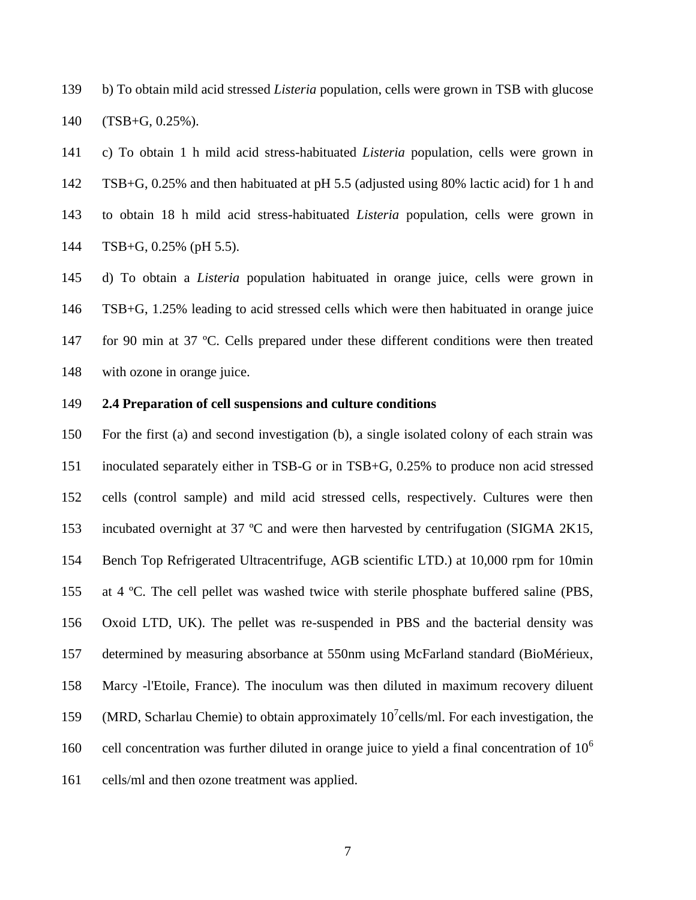b) To obtain mild acid stressed *Listeria* population, cells were grown in TSB with glucose (TSB+G, 0.25%).

 c) To obtain 1 h mild acid stress-habituated *Listeria* population, cells were grown in TSB+G, 0.25% and then habituated at pH 5.5 (adjusted using 80% lactic acid) for 1 h and to obtain 18 h mild acid stress-habituated *Listeria* population, cells were grown in TSB+G, 0.25% (pH 5.5).

 d) To obtain a *Listeria* population habituated in orange juice, cells were grown in TSB+G, 1.25% leading to acid stressed cells which were then habituated in orange juice for 90 min at 37 ºC. Cells prepared under these different conditions were then treated with ozone in orange juice.

#### **2.4 Preparation of cell suspensions and culture conditions**

 For the first (a) and second investigation (b), a single isolated colony of each strain was inoculated separately either in TSB-G or in TSB+G, 0.25% to produce non acid stressed cells (control sample) and mild acid stressed cells, respectively. Cultures were then incubated overnight at 37 ºC and were then harvested by centrifugation (SIGMA 2K15, Bench Top Refrigerated Ultracentrifuge, AGB scientific LTD.) at 10,000 rpm for 10min at 4 ºC. The cell pellet was washed twice with sterile phosphate buffered saline (PBS, Oxoid LTD, UK). The pellet was re-suspended in PBS and the bacterial density was determined by measuring absorbance at 550nm using McFarland standard (BioMérieux, Marcy -l'Etoile, France). The inoculum was then diluted in maximum recovery diluent 159 (MRD, Scharlau Chemie) to obtain approximately  $10^7$ cells/ml. For each investigation, the cell concentration was further diluted in orange juice to yield a final concentration of  $10<sup>6</sup>$  cells/ml and then ozone treatment was applied.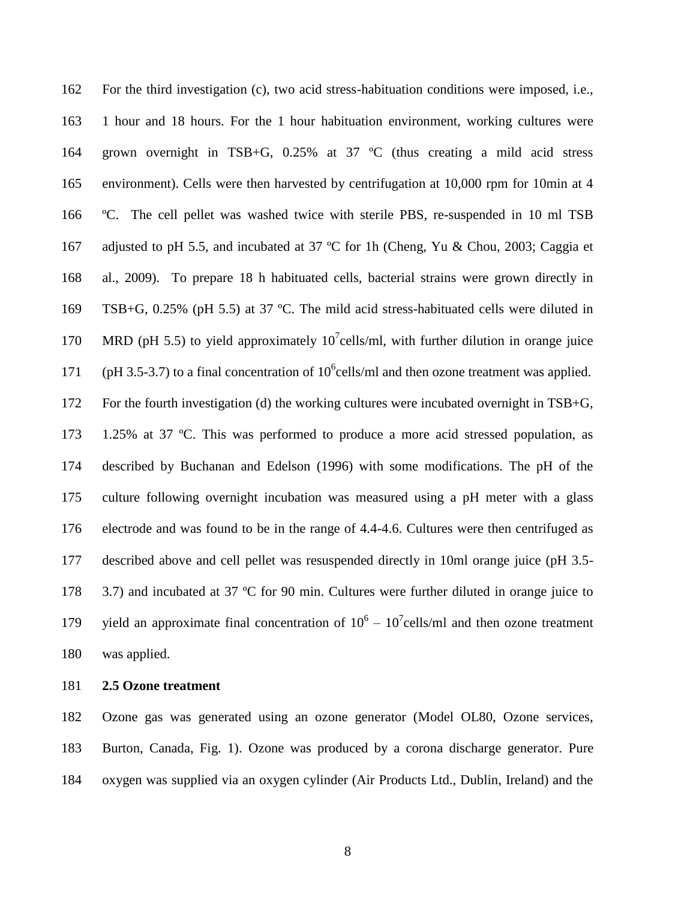For the third investigation (c), two acid stress-habituation conditions were imposed, i.e., 1 hour and 18 hours. For the 1 hour habituation environment, working cultures were grown overnight in TSB+G, 0.25% at 37 ºC (thus creating a mild acid stress environment). Cells were then harvested by centrifugation at 10,000 rpm for 10min at 4 ºC. The cell pellet was washed twice with sterile PBS, re-suspended in 10 ml TSB 167 adjusted to pH 5.5, and incubated at 37 °C for 1h (Cheng, Yu & Chou, 2003; Caggia et al., 2009). To prepare 18 h habituated cells, bacterial strains were grown directly in TSB+G, 0.25% (pH 5.5) at 37 ºC. The mild acid stress-habituated cells were diluted in 170 MRD (pH 5.5) to yield approximately  $10^7$ cells/ml, with further dilution in orange juice 171 (pH 3.5-3.7) to a final concentration of  $10^6$ cells/ml and then ozone treatment was applied. For the fourth investigation (d) the working cultures were incubated overnight in TSB+G, 1.25% at 37 ºC. This was performed to produce a more acid stressed population, as described by Buchanan and Edelson (1996) with some modifications. The pH of the culture following overnight incubation was measured using a pH meter with a glass electrode and was found to be in the range of 4.4-4.6. Cultures were then centrifuged as described above and cell pellet was resuspended directly in 10ml orange juice (pH 3.5- 178 3.7) and incubated at 37 °C for 90 min. Cultures were further diluted in orange juice to 179 yield an approximate final concentration of  $10^6 - 10^7$  cells/ml and then ozone treatment was applied.

**2.5 Ozone treatment**

 Ozone gas was generated using an ozone generator (Model OL80, Ozone services, Burton, Canada, Fig. 1). Ozone was produced by a corona discharge generator. Pure oxygen was supplied via an oxygen cylinder (Air Products Ltd., Dublin, Ireland) and the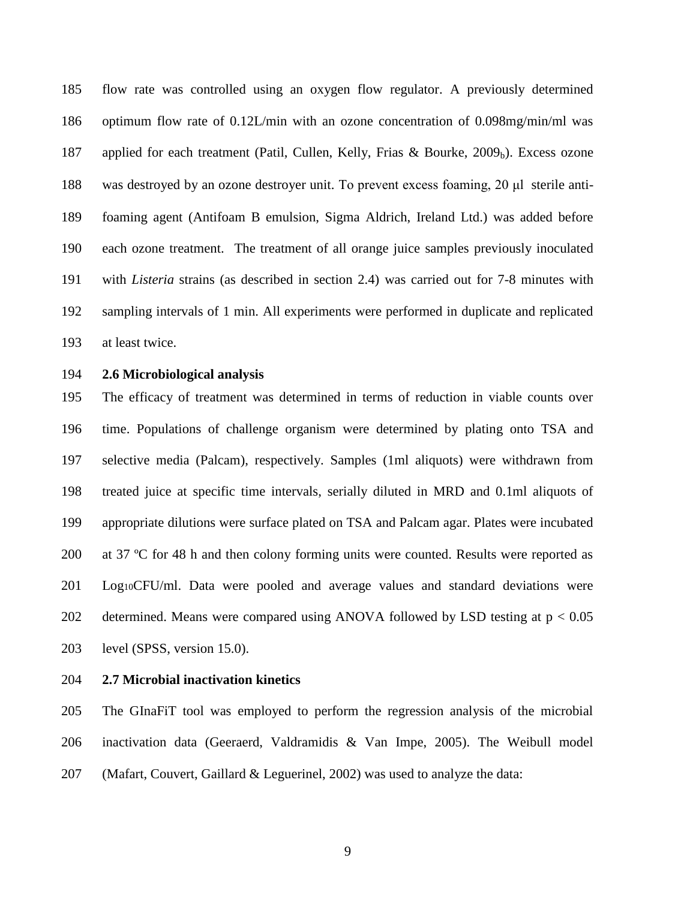flow rate was controlled using an oxygen flow regulator. A previously determined optimum flow rate of 0.12L/min with an ozone concentration of 0.098mg/min/ml was 187 applied for each treatment (Patil, Cullen, Kelly, Frias & Bourke, 2009<sub>b</sub>). Excess ozone was destroyed by an ozone destroyer unit. To prevent excess foaming, 20 μl sterile anti- foaming agent (Antifoam B emulsion, Sigma Aldrich, Ireland Ltd.) was added before each ozone treatment. The treatment of all orange juice samples previously inoculated with *Listeria* strains (as described in section 2.4) was carried out for 7-8 minutes with sampling intervals of 1 min. All experiments were performed in duplicate and replicated at least twice.

#### **2.6 Microbiological analysis**

 The efficacy of treatment was determined in terms of reduction in viable counts over time. Populations of challenge organism were determined by plating onto TSA and selective media (Palcam), respectively. Samples (1ml aliquots) were withdrawn from treated juice at specific time intervals, serially diluted in MRD and 0.1ml aliquots of appropriate dilutions were surface plated on TSA and Palcam agar. Plates were incubated at 37 ºC for 48 h and then colony forming units were counted. Results were reported as Log10CFU/ml. Data were pooled and average values and standard deviations were 202 determined. Means were compared using ANOVA followed by LSD testing at  $p < 0.05$ level (SPSS, version 15.0).

#### **2.7 Microbial inactivation kinetics**

 The GInaFiT tool was employed to perform the regression analysis of the microbial inactivation data (Geeraerd, Valdramidis & Van Impe, 2005). The Weibull model (Mafart, Couvert, Gaillard & Leguerinel, 2002) was used to analyze the data: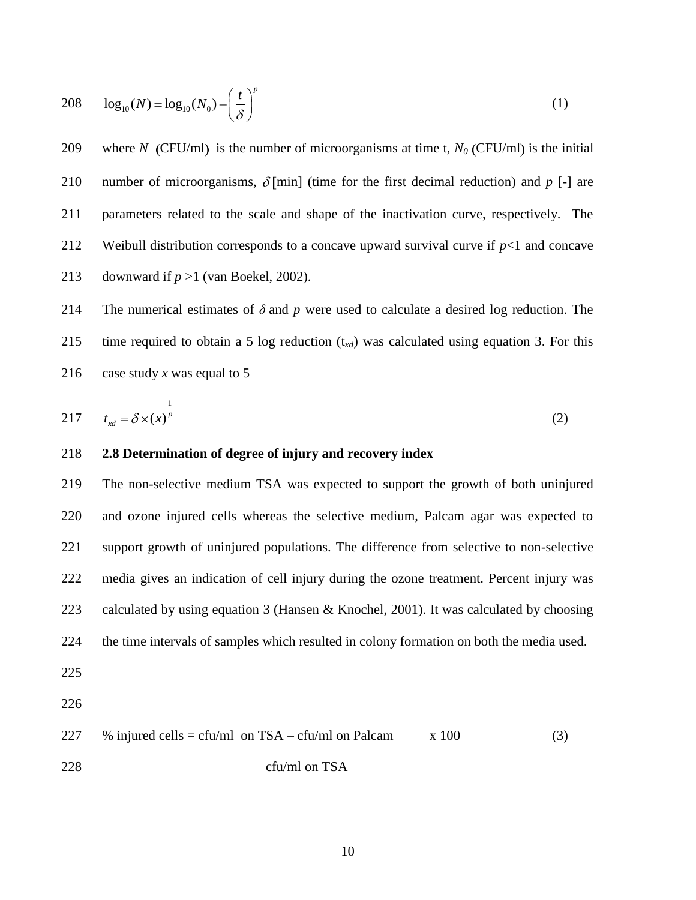208 
$$
\log_{10}(N) = \log_{10}(N_0) - \left(\frac{t}{\delta}\right)^p
$$
 (1)

209 where *N* (CFU/ml) is the number of microorganisms at time t,  $N_0$  (CFU/ml) is the initial 210 number of microorganisms,  $\delta$ [min] (time for the first decimal reduction) and *p* [-] are 211 parameters related to the scale and shape of the inactivation curve, respectively. The 212 Weibull distribution corresponds to a concave upward survival curve if  $p<1$  and concave 213 downward if  $p > 1$  (van Boekel, 2002).

214 The numerical estimates of *δ* and *p* were used to calculate a desired log reduction. The 215 time required to obtain a 5 log reduction (t*xd*) was calculated using equation 3. For this 216 case study *x* was equal to 5

$$
217 \t txd = \delta \times (x)^{\frac{1}{p}}
$$
 (2)

#### 218 **2.8 Determination of degree of injury and recovery index**

 The non-selective medium TSA was expected to support the growth of both uninjured and ozone injured cells whereas the selective medium, Palcam agar was expected to support growth of uninjured populations. The difference from selective to non-selective media gives an indication of cell injury during the ozone treatment. Percent injury was calculated by using equation 3 (Hansen & Knochel, 2001). It was calculated by choosing the time intervals of samples which resulted in colony formation on both the media used.

- 225
- 226

227 % injured cells = 
$$
\frac{cfu/ml \text{ on } TSA - cfu/ml \text{ on } Palcam}
$$
 x 100 (3)  
228  $cfu/ml \text{ on } TSA$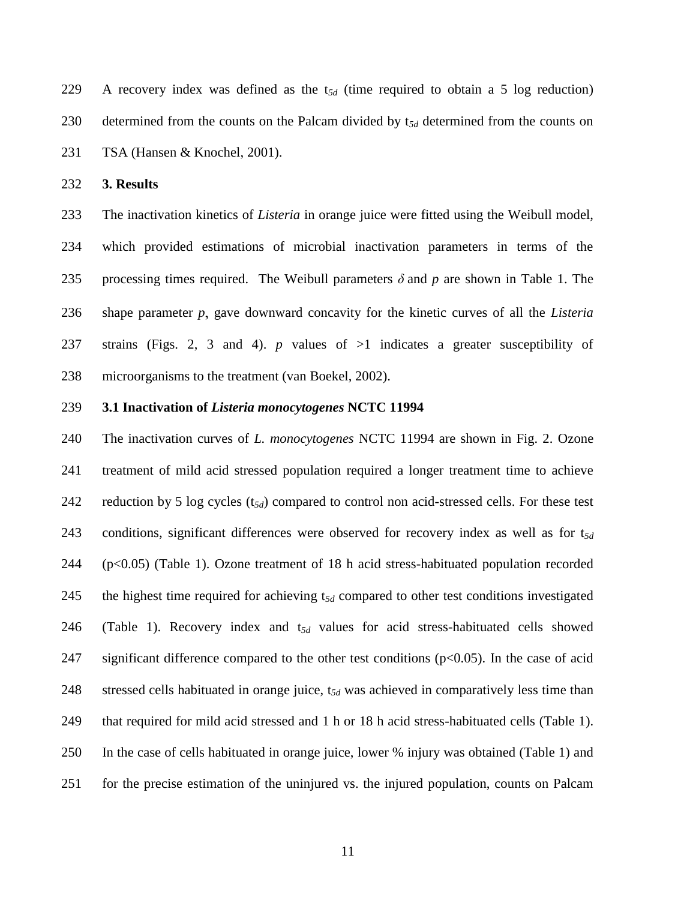A recovery index was defined as the t*5d* (time required to obtain a 5 log reduction) determined from the counts on the Palcam divided by t*5d* determined from the counts on TSA (Hansen & Knochel, 2001).

**3. Results**

 The inactivation kinetics of *Listeria* in orange juice were fitted using the Weibull model, which provided estimations of microbial inactivation parameters in terms of the processing times required. The Weibull parameters *δ* and *p* are shown in Table 1. The 236 shape parameter *p*, gave downward concavity for the kinetic curves of all the *Listeria*  strains (Figs. 2, 3 and 4). *p* values of >1 indicates a greater susceptibility of microorganisms to the treatment (van Boekel, 2002).

#### **3.1 Inactivation of** *Listeria monocytogenes* **NCTC 11994**

 The inactivation curves of *L. monocytogenes* NCTC 11994 are shown in Fig. 2. Ozone treatment of mild acid stressed population required a longer treatment time to achieve reduction by 5 log cycles (t*5d*) compared to control non acid-stressed cells. For these test conditions, significant differences were observed for recovery index as well as for t*5d* (p<0.05) (Table 1). Ozone treatment of 18 h acid stress-habituated population recorded the highest time required for achieving t*5d* compared to other test conditions investigated (Table 1). Recovery index and t*5d* values for acid stress-habituated cells showed 247 significant difference compared to the other test conditions  $(p<0.05)$ . In the case of acid stressed cells habituated in orange juice, t*5d* was achieved in comparatively less time than that required for mild acid stressed and 1 h or 18 h acid stress-habituated cells (Table 1). In the case of cells habituated in orange juice, lower % injury was obtained (Table 1) and for the precise estimation of the uninjured vs. the injured population, counts on Palcam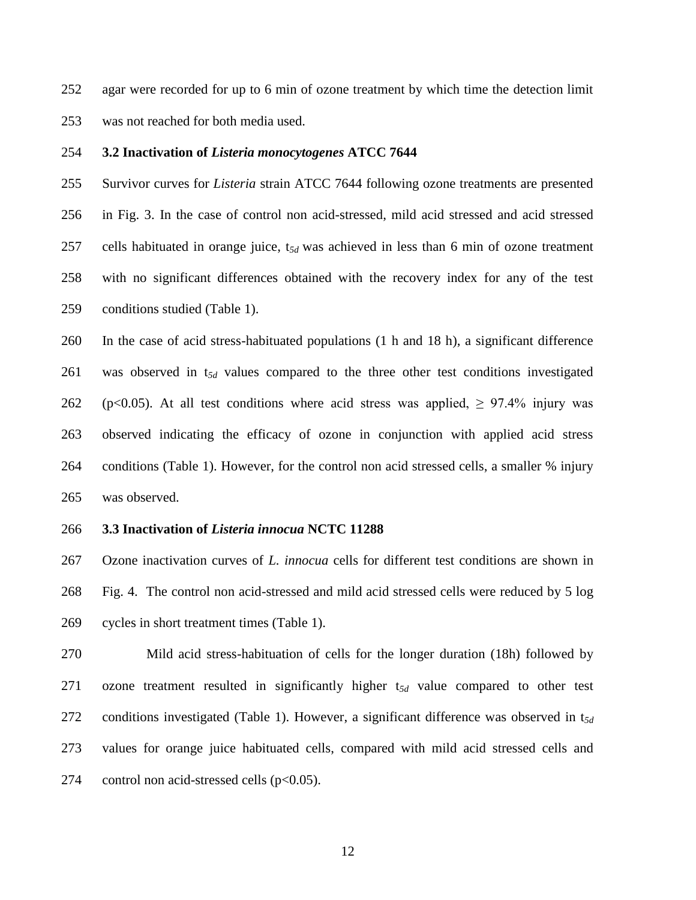agar were recorded for up to 6 min of ozone treatment by which time the detection limit was not reached for both media used.

#### **3.2 Inactivation of** *Listeria monocytogenes* **ATCC 7644**

 Survivor curves for *Listeria* strain ATCC 7644 following ozone treatments are presented in Fig. 3. In the case of control non acid-stressed, mild acid stressed and acid stressed cells habituated in orange juice, t*5d* was achieved in less than 6 min of ozone treatment with no significant differences obtained with the recovery index for any of the test conditions studied (Table 1).

 In the case of acid stress-habituated populations (1 h and 18 h), a significant difference was observed in t*5d* values compared to the three other test conditions investigated 262 (p<0.05). At all test conditions where acid stress was applied,  $\geq 97.4\%$  injury was observed indicating the efficacy of ozone in conjunction with applied acid stress conditions (Table 1). However, for the control non acid stressed cells, a smaller % injury was observed.

#### **3.3 Inactivation of** *Listeria innocua* **NCTC 11288**

 Ozone inactivation curves of *L. innocua* cells for different test conditions are shown in Fig. 4. The control non acid-stressed and mild acid stressed cells were reduced by 5 log cycles in short treatment times (Table 1).

 Mild acid stress-habituation of cells for the longer duration (18h) followed by ozone treatment resulted in significantly higher t*5d* value compared to other test conditions investigated (Table 1). However, a significant difference was observed in t*5d* values for orange juice habituated cells, compared with mild acid stressed cells and 274 control non acid-stressed cells (p<0.05).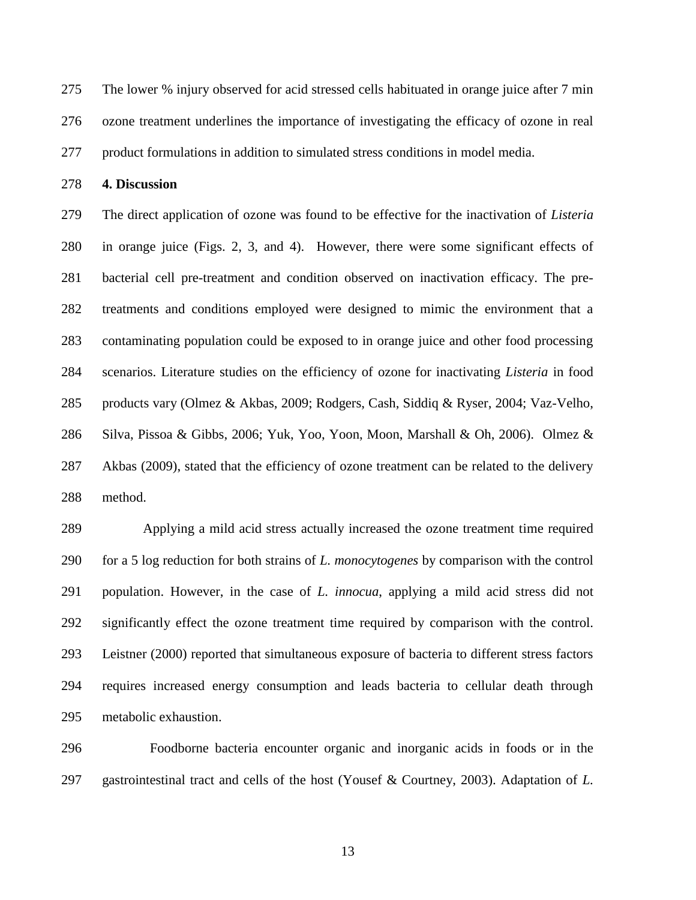The lower % injury observed for acid stressed cells habituated in orange juice after 7 min ozone treatment underlines the importance of investigating the efficacy of ozone in real product formulations in addition to simulated stress conditions in model media.

**4. Discussion**

 The direct application of ozone was found to be effective for the inactivation of *Listeria* in orange juice (Figs. 2, 3, and 4). However, there were some significant effects of bacterial cell pre-treatment and condition observed on inactivation efficacy. The pre- treatments and conditions employed were designed to mimic the environment that a contaminating population could be exposed to in orange juice and other food processing scenarios. Literature studies on the efficiency of ozone for inactivating *Listeria* in food products vary (Olmez & Akbas, 2009; Rodgers, Cash, Siddiq & Ryser, 2004; Vaz-Velho, Silva, Pissoa & Gibbs, 2006; Yuk, Yoo, Yoon, Moon, Marshall & Oh, 2006). Olmez & Akbas (2009), stated that the efficiency of ozone treatment can be related to the delivery method.

 Applying a mild acid stress actually increased the ozone treatment time required for a 5 log reduction for both strains of *L. monocytogenes* by comparison with the control population. However, in the case of *L. innocua*, applying a mild acid stress did not significantly effect the ozone treatment time required by comparison with the control. Leistner (2000) reported that simultaneous exposure of bacteria to different stress factors requires increased energy consumption and leads bacteria to cellular death through metabolic exhaustion.

296 Foodborne bacteria encounter organic and inorganic acids in foods or in the gastrointestinal tract and cells of the host (Yousef & Courtney, 2003). Adaptation of *L.*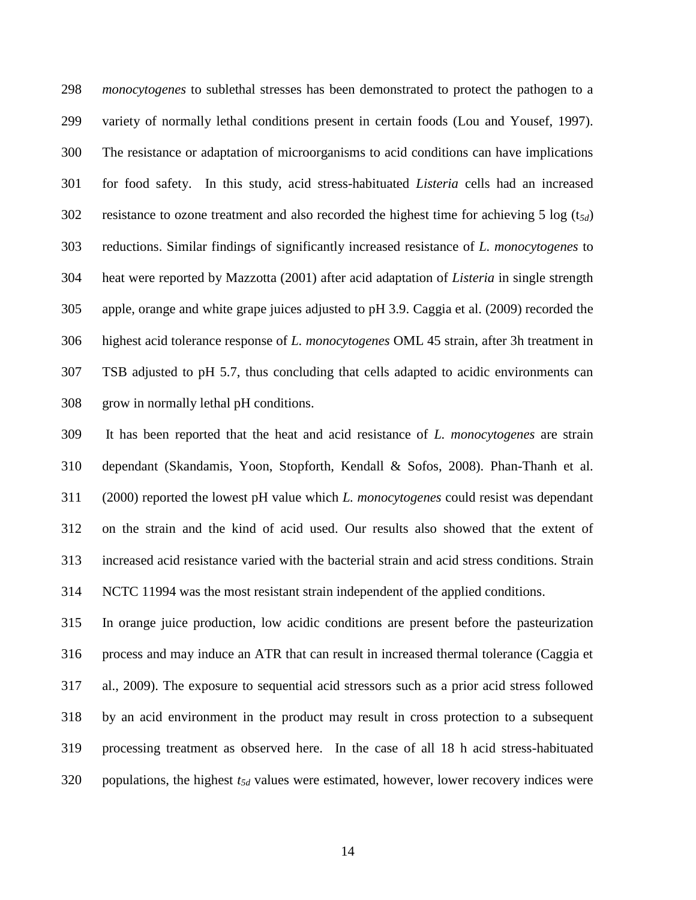*monocytogenes* to sublethal stresses has been demonstrated to protect the pathogen to a variety of normally lethal conditions present in certain foods (Lou and Yousef, 1997). The resistance or adaptation of microorganisms to acid conditions can have implications for food safety. In this study, acid stress-habituated *Listeria* cells had an increased resistance to ozone treatment and also recorded the highest time for achieving 5 log (t*5d*) reductions. Similar findings of significantly increased resistance of *L. monocytogenes* to heat were reported by Mazzotta (2001) after acid adaptation of *Listeria* in single strength apple, orange and white grape juices adjusted to pH 3.9. Caggia et al. (2009) recorded the highest acid tolerance response of *L. monocytogenes* OML 45 strain, after 3h treatment in TSB adjusted to pH 5.7, thus concluding that cells adapted to acidic environments can grow in normally lethal pH conditions.

 It has been reported that the heat and acid resistance of *L. monocytogenes* are strain dependant (Skandamis, Yoon, Stopforth, Kendall & Sofos, 2008). Phan-Thanh et al. (2000) reported the lowest pH value which *L. monocytogenes* could resist was dependant on the strain and the kind of acid used. Our results also showed that the extent of increased acid resistance varied with the bacterial strain and acid stress conditions. Strain NCTC 11994 was the most resistant strain independent of the applied conditions.

 In orange juice production, low acidic conditions are present before the pasteurization process and may induce an ATR that can result in increased thermal tolerance (Caggia et al., 2009). The exposure to sequential acid stressors such as a prior acid stress followed by an acid environment in the product may result in cross protection to a subsequent processing treatment as observed here. In the case of all 18 h acid stress-habituated populations, the highest *t5d* values were estimated, however, lower recovery indices were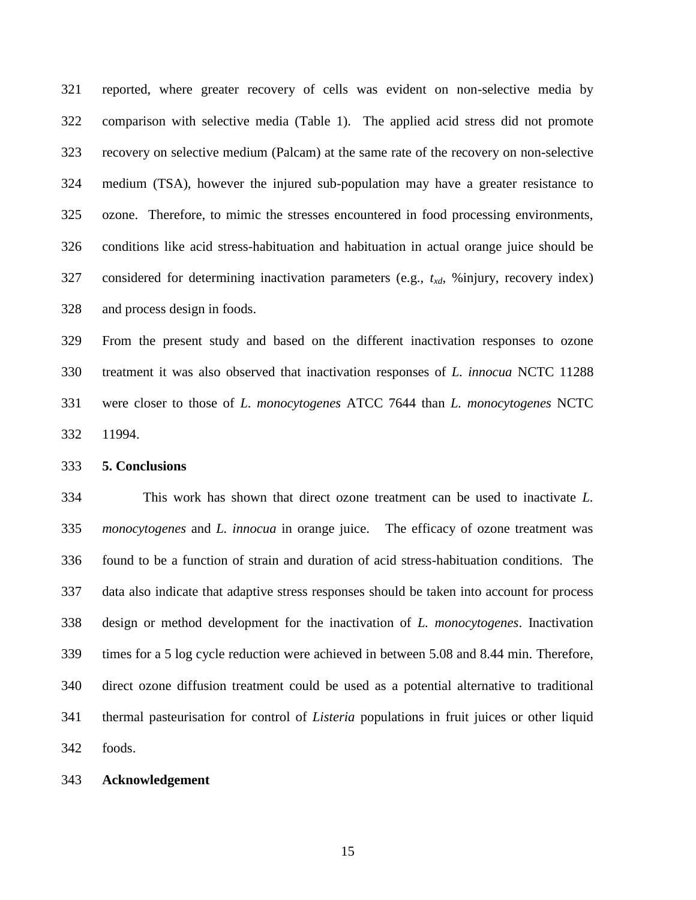reported, where greater recovery of cells was evident on non-selective media by comparison with selective media (Table 1). The applied acid stress did not promote recovery on selective medium (Palcam) at the same rate of the recovery on non-selective medium (TSA), however the injured sub-population may have a greater resistance to ozone. Therefore, to mimic the stresses encountered in food processing environments, conditions like acid stress-habituation and habituation in actual orange juice should be considered for determining inactivation parameters (e.g., *txd*, %injury, recovery index) and process design in foods.

 From the present study and based on the different inactivation responses to ozone treatment it was also observed that inactivation responses of *L. innocua* NCTC 11288 were closer to those of *L. monocytogenes* ATCC 7644 than *L. monocytogenes* NCTC 11994.

#### **5. Conclusions**

 This work has shown that direct ozone treatment can be used to inactivate *L. monocytogenes* and *L. innocua* in orange juice. The efficacy of ozone treatment was found to be a function of strain and duration of acid stress-habituation conditions. The data also indicate that adaptive stress responses should be taken into account for process design or method development for the inactivation of *L. monocytogenes*. Inactivation times for a 5 log cycle reduction were achieved in between 5.08 and 8.44 min. Therefore, direct ozone diffusion treatment could be used as a potential alternative to traditional thermal pasteurisation for control of *Listeria* populations in fruit juices or other liquid foods.

#### **Acknowledgement**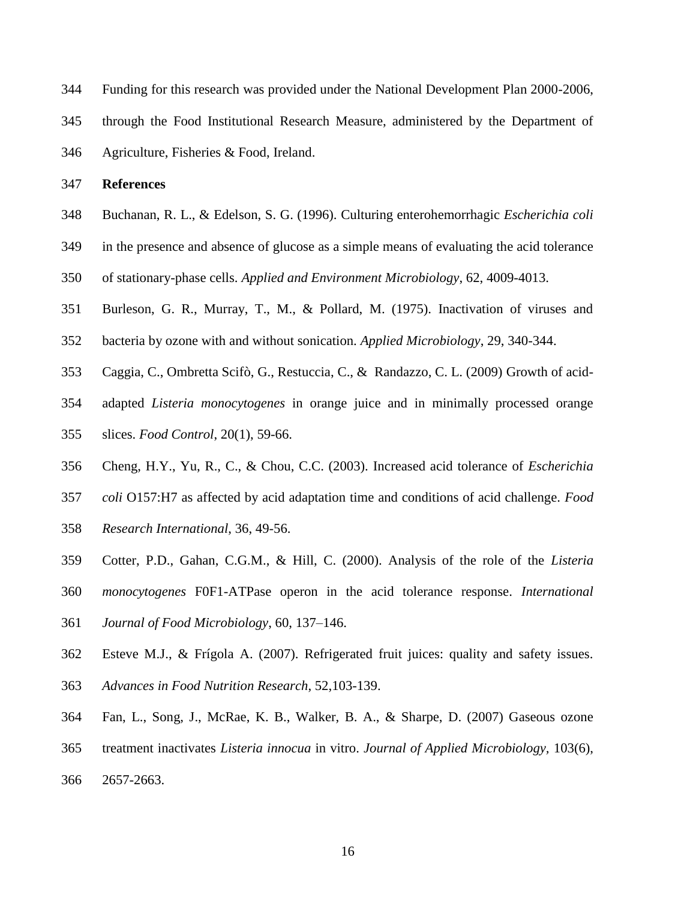- Funding for this research was provided under the National Development Plan 2000-2006,
- through the Food Institutional Research Measure, administered by the Department of
- Agriculture, Fisheries & Food, Ireland.

#### **References**

- Buchanan, R. L., & Edelson, S. G. (1996). Culturing enterohemorrhagic *Escherichia coli*
- in the presence and absence of glucose as a simple means of evaluating the acid tolerance
- of stationary-phase cells. *Applied and Environment Microbiology*, 62, 4009-4013.
- Burleson, G. R., Murray, T., M., & Pollard, M. (1975). Inactivation of viruses and
- bacteria by ozone with and without sonication. *Applied Microbiology*, 29, 340-344.
- Caggia, C., Ombretta Scifò, G., Restuccia, C., & Randazzo, C. L. (2009) Growth of acid-
- adapted *Listeria monocytogenes* in orange juice and in minimally processed orange
- slices. *Food Control*, 20(1), 59-66.
- Cheng, H.Y., Yu, R., C., & Chou, C.C. (2003). Increased acid tolerance of *Escherichia*
- *coli* O157:H7 as affected by acid adaptation time and conditions of acid challenge. *Food*
- *Research International*, 36, 49-56.
- Cotter, P.D., Gahan, C.G.M., & Hill, C. (2000). Analysis of the role of the *Listeria*
- *monocytogenes* F0F1-ATPase operon in the acid tolerance response. *International*
- *Journal of Food Microbiology*, 60, 137–146.
- Esteve M.J., & Frígola A. (2007). Refrigerated fruit juices: quality and safety issues.
- *[Advances in Food Nutrition Research](javascript:AL_get(this,%20)*, 52,103-139.
- Fan, L., Song, J., McRae, K. B., Walker, B. A., & Sharpe, D. (2007) Gaseous ozone
- treatment inactivates *Listeria innocua* in vitro. *Journal of Applied Microbiology,* 103(6),
- 2657-2663.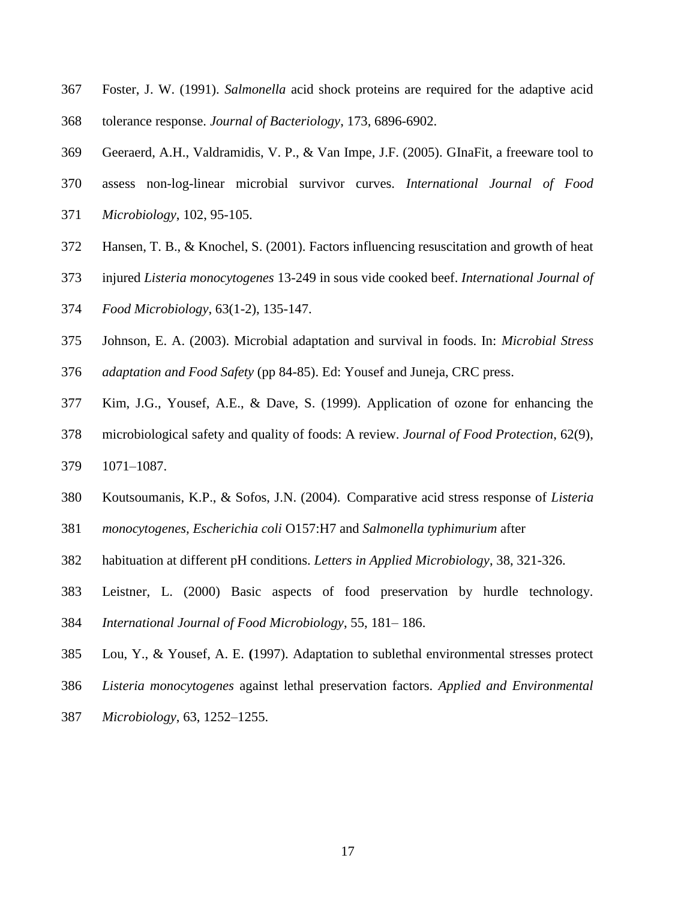- Foster, J. W. (1991). *Salmonella* acid shock proteins are required for the adaptive acid tolerance response. *Journal of Bacteriology*, 173, 6896-6902.
- Geeraerd, A.H., Valdramidis, V. P., & Van Impe, J.F. (2005). GInaFit, a freeware tool to
- assess non-log-linear microbial survivor curves. *International Journal of Food*
- *Microbiology*, 102, 95-105.
- Hansen, T. B., & Knochel, S. (2001). Factors influencing resuscitation and growth of heat
- injured *Listeria monocytogenes* 13-249 in sous vide cooked beef. *International Journal of*
- *Food Microbiology*, 63(1-2), 135-147.
- Johnson, E. A. (2003). Microbial adaptation and survival in foods. In: *Microbial Stress*
- *adaptation and Food Safety* (pp 84-85). Ed: Yousef and Juneja, CRC press.
- Kim, J.G., Yousef, A.E., & Dave, S. (1999). Application of ozone for enhancing the
- microbiological safety and quality of foods: A review. *Journal of Food Protection*, 62(9),
- 1071–1087.
- Koutsoumanis, K.P., & Sofos, J.N. (2004). Comparative acid stress response of *Listeria*
- *monocytogenes, Escherichia coli* O157:H7 and *Salmonella typhimurium* after
- habituation at different pH conditions. *Letters in Applied Microbiology*, 38, 321-326.
- Leistner, L. (2000) Basic aspects of food preservation by hurdle technology.
- *International Journal of Food Microbiology*, 55, 181– 186.
- Lou, Y., & Yousef, A. E. **(**1997). Adaptation to sublethal environmental stresses protect
- *Listeria monocytogenes* against lethal preservation factors. *Applied and Environmental*
- *Microbiology*, 63, 1252–1255.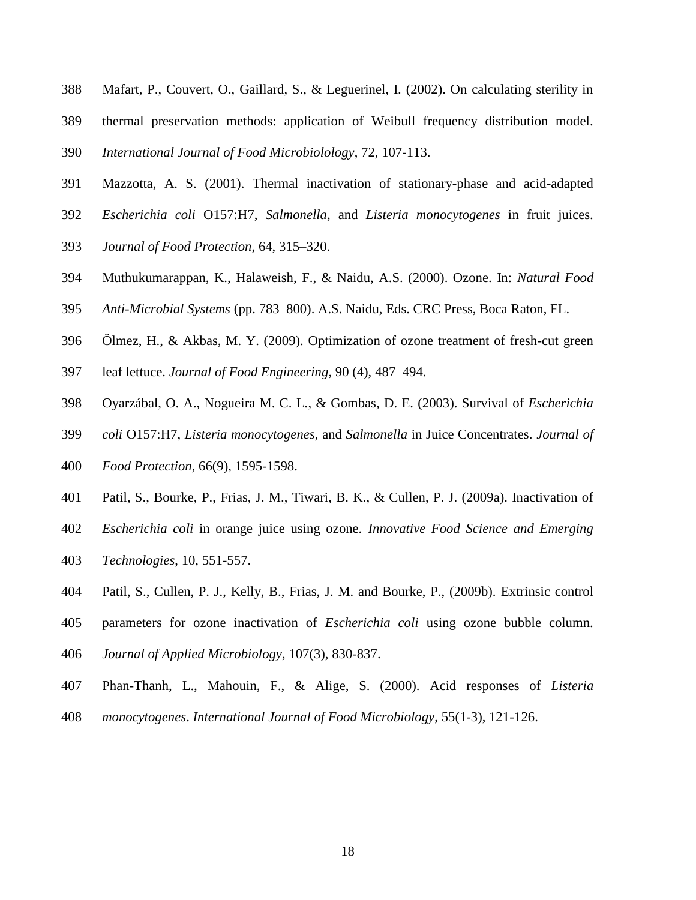- Mafart, P., Couvert, O., Gaillard, S., & Leguerinel, I. (2002). On calculating sterility in
- thermal preservation methods: application of Weibull frequency distribution model.
- *International Journal of Food Microbiolology*, 72, 107-113.
- Mazzotta, A. S. (2001). Thermal inactivation of stationary-phase and acid-adapted
- *Escherichia coli* O157:H7, *Salmonella*, and *Listeria monocytogenes* in fruit juices.
- *Journal of Food Protection*, 64, 315–320.
- Muthukumarappan, K., Halaweish, F., & Naidu, A.S. (2000). Ozone. In: *Natural Food*
- *Anti-Microbial Systems* (pp. 783–800). A.S. Naidu, Eds. CRC Press, Boca Raton, FL.
- Ölmez, H., & Akbas, M. Y. (2009). Optimization of ozone treatment of fresh-cut green
- leaf lettuce. *Journal of Food Engineering*, 90 (4), 487–494.
- Oyarzábal, O. A., Nogueira M. C. L., & Gombas, D. E. (2003). Survival of *Escherichia*
- *coli* O157:H7, *Listeria monocytogenes*, and *Salmonella* in Juice Concentrates. *Journal of*
- *Food Protection*, 66(9), 1595-1598.
- Patil, S., Bourke, P., Frias, J. M., Tiwari, B. K., & Cullen, P. J. (2009a). Inactivation of
- *Escherichia coli* in orange juice using ozone. *Innovative Food Science and Emerging*
- *Technologies*, 10, 551-557.
- Patil, S., Cullen, P. J., Kelly, B., Frias, J. M. and Bourke, P., (2009b). Extrinsic control
- parameters for ozone inactivation of *Escherichia coli* using ozone bubble column.
- *Journal of Applied Microbiology*, 107(3), 830-837.
- Phan-Thanh, L., Mahouin, F., & Alige, S. (2000). Acid responses of *Listeria*
- *monocytogenes*. *International Journal of Food Microbiology*, 55(1-3), 121-126.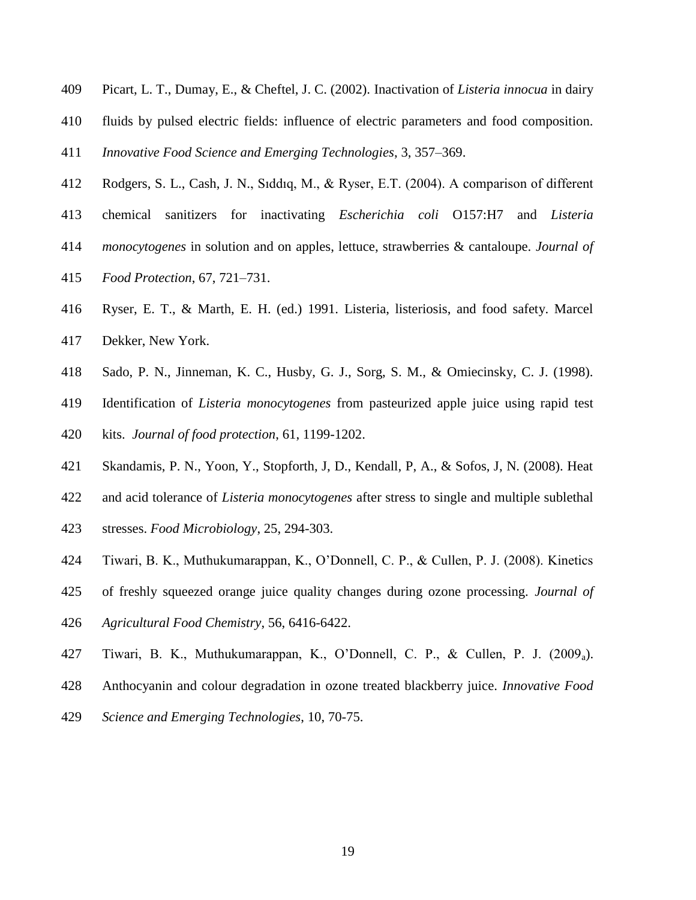- Picart, L. T., Dumay, E., & Cheftel, J. C. (2002). Inactivation of *Listeria innocua* in dairy
- fluids by pulsed electric fields: influence of electric parameters and food composition.

*Innovative Food Science and Emerging Technologies*, 3, 357–369.

- Rodgers, S. L., Cash, J. N., Sıddıq, M., & Ryser, E.T. (2004). A comparison of different
- chemical sanitizers for inactivating *Escherichia coli* O157:H7 and *Listeria*
- *monocytogenes* in solution and on apples, lettuce, strawberries & cantaloupe. *Journal of*
- *Food Protection*, 67, 721–731.
- Ryser, E. T., & Marth, E. H. (ed.) 1991. Listeria, listeriosis, and food safety. Marcel
- Dekker, New York.
- Sado, P. N., Jinneman, K. C., Husby, G. J., Sorg, S. M., & Omiecinsky, C. J. (1998).
- Identification of *Listeria monocytogenes* from pasteurized apple juice using rapid test
- kits. *Journal of food protection*, 61, 1199-1202.
- Skandamis, P. N., Yoon, Y., Stopforth, J, D., Kendall, P, A., & Sofos, J, N. (2008). Heat
- and acid tolerance of *Listeria monocytogenes* after stress to single and multiple sublethal
- stresses. *Food Microbiology*, 25, 294-303.
- Tiwari, B. K., Muthukumarappan, K., O'Donnell, C. P., & Cullen, P. J. (2008). Kinetics
- of freshly squeezed orange juice quality changes during ozone processing. *Journal of*
- *Agricultural Food Chemistry*, 56, 6416-6422.
- Tiwari, B. K., Muthukumarappan, K., O'Donnell, C. P., & Cullen, P. J. (2009a).
- Anthocyanin and colour degradation in ozone treated blackberry juice. *Innovative Food*
- *Science and Emerging Technologies*, 10, 70-75.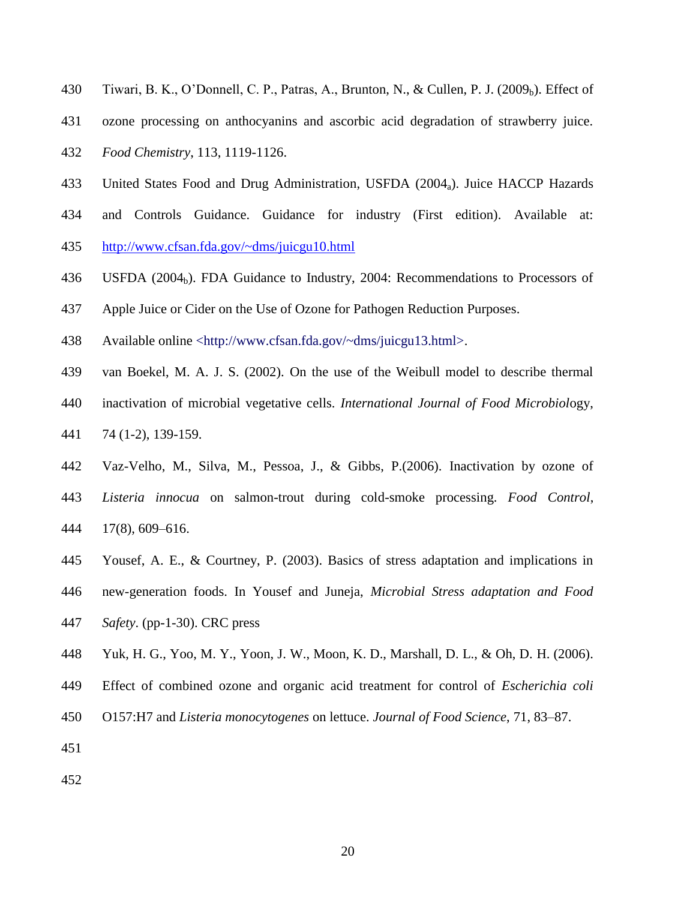- 430 Tiwari, B. K., O'Donnell, C. P., Patras, A., Brunton, N., & Cullen, P. J. (2009<sub>b</sub>). Effect of
- ozone processing on anthocyanins and ascorbic acid degradation of strawberry juice.
- *Food Chemistry*, 113, 1119-1126.
- United States Food and Drug Administration, USFDA (2004a). Juice HACCP Hazards
- and Controls Guidance. Guidance for industry (First edition). Available at: <http://www.cfsan.fda.gov/~dms/juicgu10.html>
- 436 USFDA  $(2004<sub>b</sub>)$ . FDA Guidance to Industry, 2004: Recommendations to Processors of
- Apple Juice or Cider on the Use of Ozone for Pathogen Reduction Purposes.
- Available online <http://www.cfsan.fda.gov/~dms/juicgu13.html>.
- van Boekel, M. A. J. S. (2002). On the use of the Weibull model to describe thermal
- inactivation of microbial vegetative cells. *International Journal of Food Microbiol*ogy,
- 74 (1-2), 139-159.
- Vaz-Velho, M., Silva, M., Pessoa, J., & Gibbs, P.(2006). Inactivation by ozone of
- *Listeria innocua* on salmon-trout during cold-smoke processing. *Food Control*, 17(8), 609–616.
- Yousef, A. E., & Courtney, P. (2003). Basics of stress adaptation and implications in
- new-generation foods. In Yousef and Juneja, *Microbial Stress adaptation and Food*
- *Safety*. (pp-1-30). CRC press
- Yuk, H. G., Yoo, M. Y., Yoon, J. W., Moon, K. D., Marshall, D. L., & Oh, D. H. (2006).
- Effect of combined ozone and organic acid treatment for control of *Escherichia coli*
- O157:H7 and *Listeria monocytogenes* on lettuce. *Journal of Food Science*, 71, 83–87.
- 
-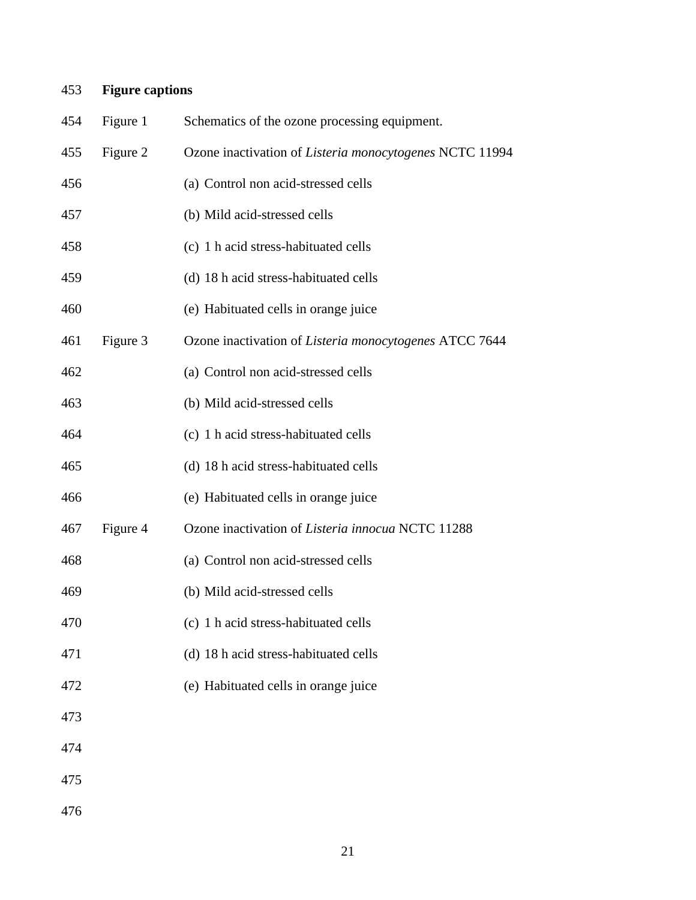## **Figure captions**

| 454 | Figure 1 | Schematics of the ozone processing equipment.            |
|-----|----------|----------------------------------------------------------|
| 455 | Figure 2 | Ozone inactivation of Listeria monocytogenes NCTC 11994  |
| 456 |          | (a) Control non acid-stressed cells                      |
| 457 |          | (b) Mild acid-stressed cells                             |
| 458 |          | (c) 1 h acid stress-habituated cells                     |
| 459 |          | (d) 18 h acid stress-habituated cells                    |
| 460 |          | (e) Habituated cells in orange juice                     |
| 461 | Figure 3 | Ozone inactivation of Listeria monocytogenes ATCC 7644   |
| 462 |          | (a) Control non acid-stressed cells                      |
| 463 |          | (b) Mild acid-stressed cells                             |
| 464 |          | (c) 1 h acid stress-habituated cells                     |
| 465 |          | (d) 18 h acid stress-habituated cells                    |
| 466 |          | (e) Habituated cells in orange juice                     |
| 467 | Figure 4 | Ozone inactivation of <i>Listeria innocua</i> NCTC 11288 |
| 468 |          | (a) Control non acid-stressed cells                      |
| 469 |          | (b) Mild acid-stressed cells                             |
| 470 |          | (c) 1 h acid stress-habituated cells                     |
| 471 |          | (d) 18 h acid stress-habituated cells                    |
| 472 |          | (e) Habituated cells in orange juice                     |
| 473 |          |                                                          |
| 474 |          |                                                          |
| 475 |          |                                                          |
| 476 |          |                                                          |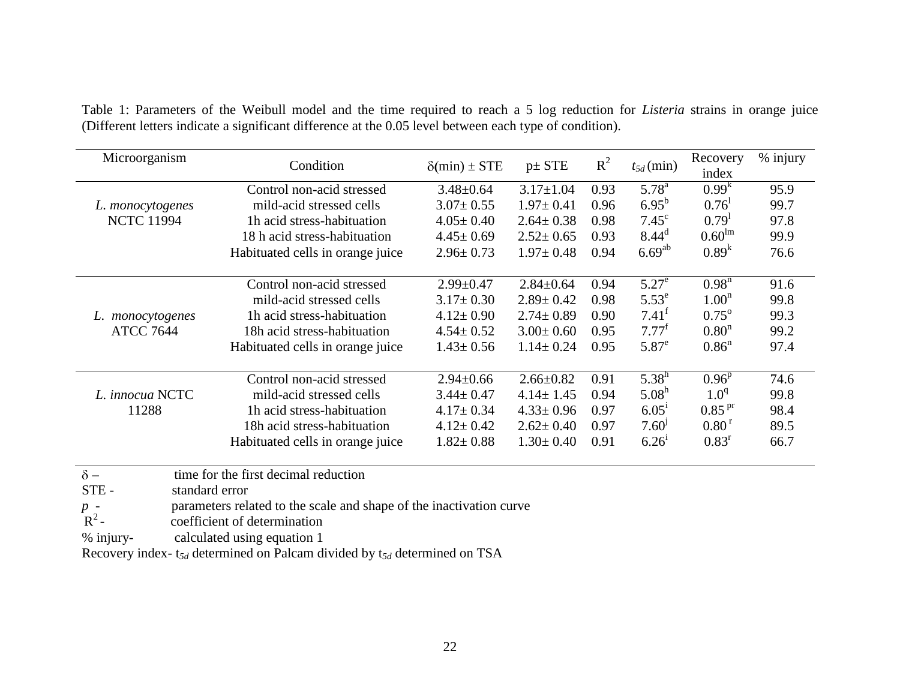| Microorganism                           | Condition                            | $\delta$ (min) ± STE | $p\pm$ STE      | $R^2$ | $t_{5d}$ (min)    | Recovery<br>index  | % injury |
|-----------------------------------------|--------------------------------------|----------------------|-----------------|-------|-------------------|--------------------|----------|
|                                         | Control non-acid stressed            | $3.48 \pm 0.64$      | $3.17 \pm 1.04$ | 0.93  | $5.78^{a}$        | 0.99 <sup>K</sup>  | 95.9     |
| L. monocytogenes                        | mild-acid stressed cells             | $3.07 \pm 0.55$      | $1.97 \pm 0.41$ | 0.96  | $6.95^{b}$        | 0.76 <sup>1</sup>  | 99.7     |
| <b>NCTC 11994</b>                       | 1h acid stress-habituation           | $4.05 \pm 0.40$      | $2.64 \pm 0.38$ | 0.98  | $7.45^{\circ}$    | 0.79 <sup>1</sup>  | 97.8     |
|                                         | 18 h acid stress-habituation         | $4.45 \pm 0.69$      | $2.52 \pm 0.65$ | 0.93  | 8.44 <sup>d</sup> | 0.60 <sup>lm</sup> | 99.9     |
|                                         | Habituated cells in orange juice     | $2.96 \pm 0.73$      | $1.97 \pm 0.48$ | 0.94  | $6.69^{ab}$       | $0.89^{k}$         | 76.6     |
|                                         | Control non-acid stressed            | $2.99 \pm 0.47$      | $2.84 \pm 0.64$ | 0.94  | $5.27^e$          | $0.98^n$           | 91.6     |
|                                         | mild-acid stressed cells             | $3.17 \pm 0.30$      | $2.89 \pm 0.42$ | 0.98  | $5.53^e$          | 1.00 <sup>n</sup>  | 99.8     |
|                                         | 1h acid stress-habituation           | $4.12 \pm 0.90$      | $2.74 \pm 0.89$ | 0.90  | $7.41^t$          | $0.75^{\circ}$     | 99.3     |
| L. <i>monocytogenes</i>                 |                                      |                      |                 |       |                   |                    |          |
| <b>ATCC 7644</b>                        | 18h acid stress-habituation          | $4.54 \pm 0.52$      | $3.00 \pm 0.60$ | 0.95  | $7.77^{\rm f}$    | 0.80 <sup>n</sup>  | 99.2     |
|                                         | Habituated cells in orange juice     | $1.43 \pm 0.56$      | $1.14 \pm 0.24$ | 0.95  | $5.87^e$          | 0.86 <sup>n</sup>  | 97.4     |
|                                         | Control non-acid stressed            | $2.94 \pm 0.66$      | $2.66 \pm 0.82$ | 0.91  | $5.38^{h}$        | $0.96^{p}$         | 74.6     |
| L. innocua NCTC                         | mild-acid stressed cells             | $3.44 \pm 0.47$      | $4.14 \pm 1.45$ | 0.94  | 5.08 <sup>h</sup> | 1.0 <sup>q</sup>   | 99.8     |
| 11288                                   | Th acid stress-habituation           | $4.17 \pm 0.34$      | $4.33 \pm 0.96$ | 0.97  | 6.05 <sup>1</sup> | 0.85 <sup>pr</sup> | 98.4     |
|                                         | 18h acid stress-habituation          | $4.12 \pm 0.42$      | $2.62 \pm 0.40$ | 0.97  | 7.60 <sup>j</sup> | 0.80 <sup>r</sup>  | 89.5     |
|                                         | Habituated cells in orange juice     | $1.82 \pm 0.88$      | $1.30 \pm 0.40$ | 0.91  | 6.26 <sup>1</sup> | 0.83 <sup>r</sup>  | 66.7     |
| $\delta$ –<br>$STF -$<br>standard error | time for the first decimal reduction |                      |                 |       |                   |                    |          |

Table 1: Parameters of the Weibull model and the time required to reach a 5 log reduction for *Listeria* strains in orange juice (Different letters indicate a significant difference at the 0.05 level between each type of condition).

STE - standard error

parameters related to the scale and shape of the inactivation curve

 $R^2$ coefficient of determination

% injury- calculated using equation 1

Recovery index- t*5d* determined on Palcam divided by t*5d* determined on TSA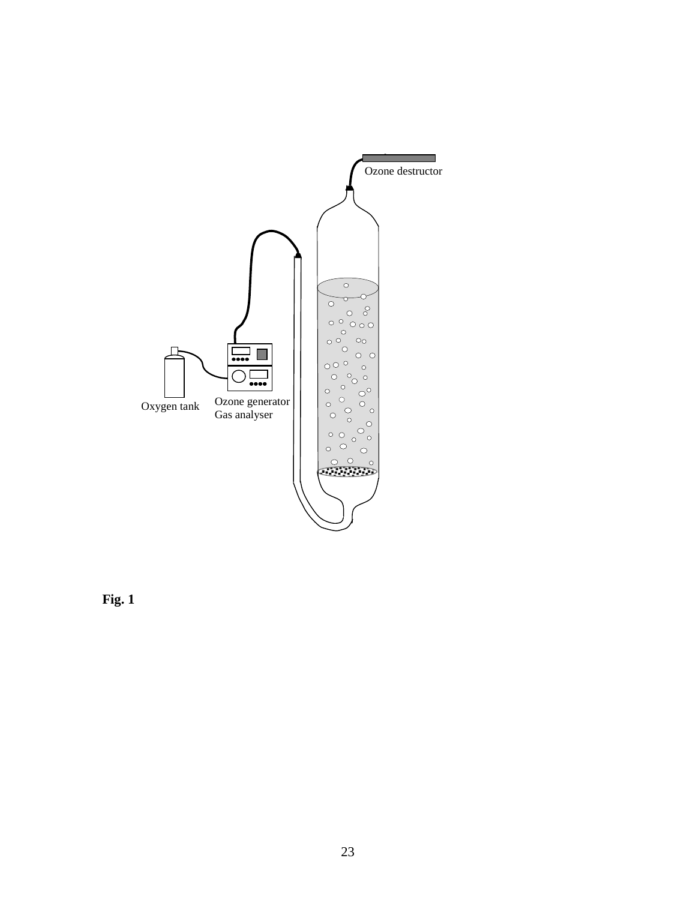

**Fig. 1**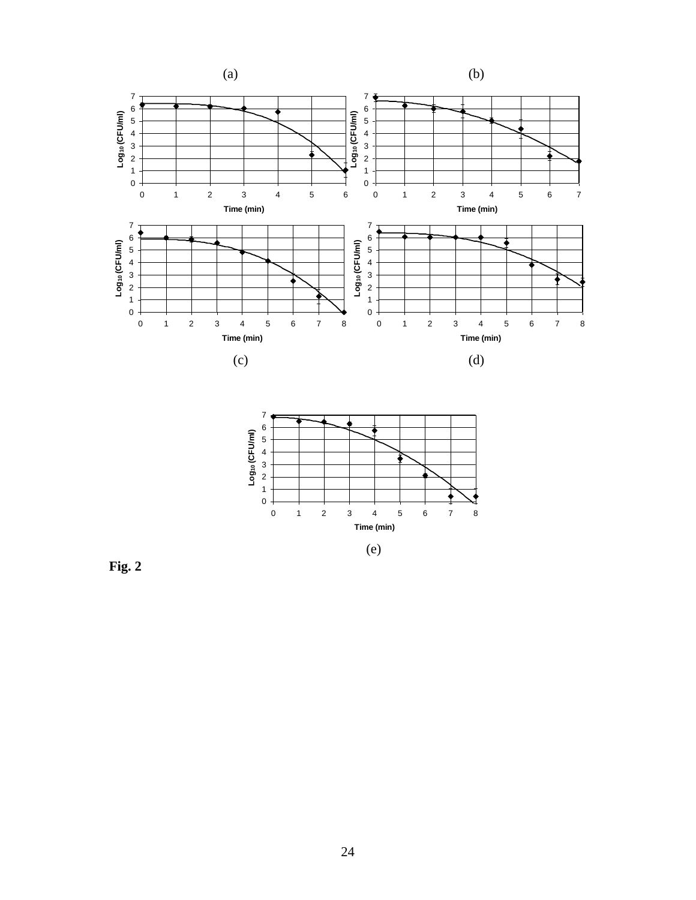



**Fig. 2**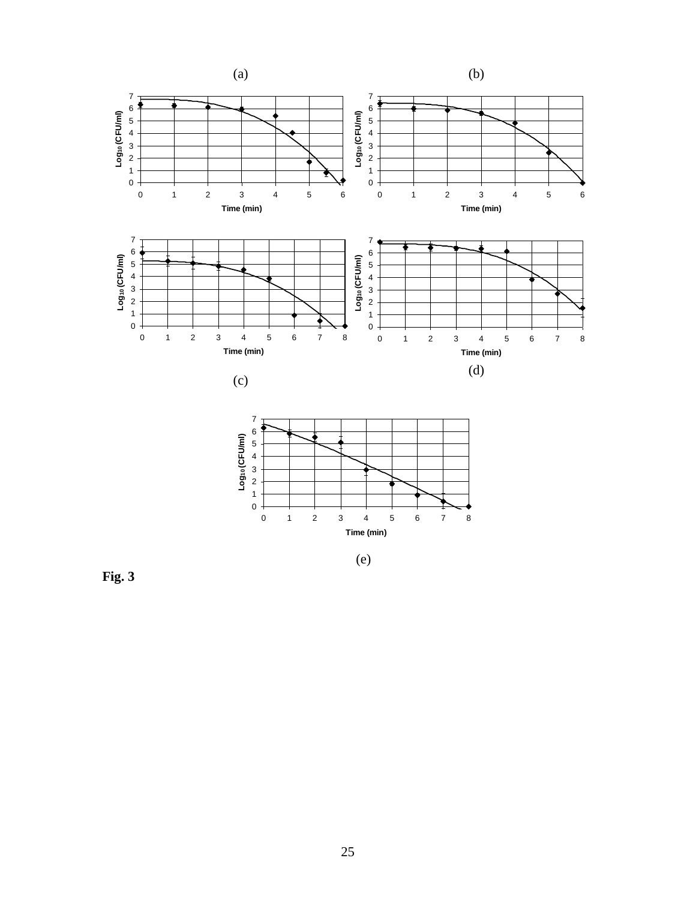

**Fig. 3**